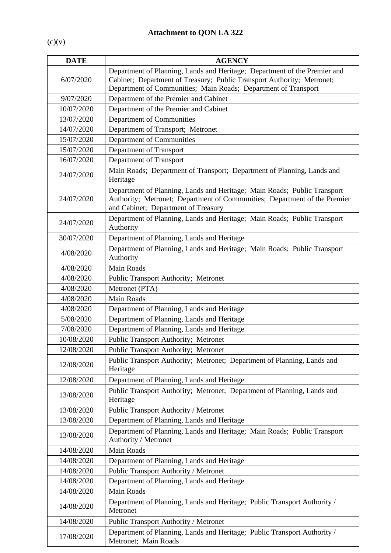$(c)(v)$ 

| <b>DATE</b> | <b>AGENCY</b>                                                                                                                                                                                                         |
|-------------|-----------------------------------------------------------------------------------------------------------------------------------------------------------------------------------------------------------------------|
| 6/07/2020   | Department of Planning, Lands and Heritage; Department of the Premier and<br>Cabinet; Department of Treasury; Public Transport Authority; Metronet;<br>Department of Communities; Main Roads; Department of Transport |
| 9/07/2020   | Department of the Premier and Cabinet                                                                                                                                                                                 |
| 10/07/2020  | Department of the Premier and Cabinet                                                                                                                                                                                 |
| 13/07/2020  | Department of Communities                                                                                                                                                                                             |
| 14/07/2020  | Department of Transport; Metronet                                                                                                                                                                                     |
| 15/07/2020  | Department of Communities                                                                                                                                                                                             |
| 15/07/2020  | Department of Transport                                                                                                                                                                                               |
| 16/07/2020  | Department of Transport                                                                                                                                                                                               |
| 24/07/2020  | Main Roads; Department of Transport; Department of Planning, Lands and<br>Heritage                                                                                                                                    |
| 24/07/2020  | Department of Planning, Lands and Heritage; Main Roads; Public Transport<br>Authority; Metronet; Department of Communities; Department of the Premier<br>and Cabinet; Department of Treasury                          |
| 24/07/2020  | Department of Planning, Lands and Heritage; Main Roads; Public Transport<br>Authority                                                                                                                                 |
| 30/07/2020  | Department of Planning, Lands and Heritage                                                                                                                                                                            |
| 4/08/2020   | Department of Planning, Lands and Heritage; Main Roads; Public Transport<br>Authority                                                                                                                                 |
| 4/08/2020   | <b>Main Roads</b>                                                                                                                                                                                                     |
| 4/08/2020   | <b>Public Transport Authority; Metronet</b>                                                                                                                                                                           |
| 4/08/2020   | Metronet (PTA)                                                                                                                                                                                                        |
| 4/08/2020   | <b>Main Roads</b>                                                                                                                                                                                                     |
| 4/08/2020   | Department of Planning, Lands and Heritage                                                                                                                                                                            |
| 5/08/2020   | Department of Planning, Lands and Heritage                                                                                                                                                                            |
| 7/08/2020   | Department of Planning, Lands and Heritage                                                                                                                                                                            |
| 10/08/2020  | <b>Public Transport Authority; Metronet</b>                                                                                                                                                                           |
| 12/08/2020  | <b>Public Transport Authority; Metronet</b>                                                                                                                                                                           |
| 12/08/2020  | Public Transport Authority; Metronet; Department of Planning, Lands and<br>Heritage                                                                                                                                   |
| 12/08/2020  | Department of Planning, Lands and Heritage                                                                                                                                                                            |
| 13/08/2020  | Public Transport Authority; Metronet; Department of Planning, Lands and<br>Heritage                                                                                                                                   |
| 13/08/2020  | Public Transport Authority / Metronet                                                                                                                                                                                 |
| 13/08/2020  | Department of Planning, Lands and Heritage                                                                                                                                                                            |
| 13/08/2020  | Department of Planning, Lands and Heritage; Main Roads; Public Transport<br>Authority / Metronet                                                                                                                      |
| 14/08/2020  | <b>Main Roads</b>                                                                                                                                                                                                     |
| 14/08/2020  | Department of Planning, Lands and Heritage                                                                                                                                                                            |
| 14/08/2020  | <b>Public Transport Authority / Metronet</b>                                                                                                                                                                          |
| 14/08/2020  | Department of Planning, Lands and Heritage                                                                                                                                                                            |
| 14/08/2020  | Main Roads                                                                                                                                                                                                            |
| 14/08/2020  | Department of Planning, Lands and Heritage; Public Transport Authority /<br>Metronet                                                                                                                                  |
| 14/08/2020  | Public Transport Authority / Metronet                                                                                                                                                                                 |
| 17/08/2020  | Department of Planning, Lands and Heritage; Public Transport Authority /<br>Metronet; Main Roads                                                                                                                      |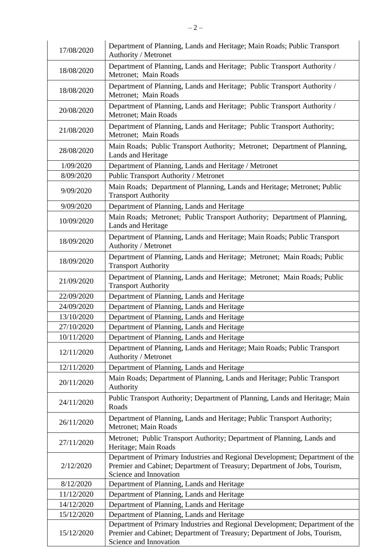| 17/08/2020 | Department of Planning, Lands and Heritage; Main Roads; Public Transport<br>Authority / Metronet                                                                                    |
|------------|-------------------------------------------------------------------------------------------------------------------------------------------------------------------------------------|
| 18/08/2020 | Department of Planning, Lands and Heritage; Public Transport Authority /<br>Metronet; Main Roads                                                                                    |
| 18/08/2020 | Department of Planning, Lands and Heritage; Public Transport Authority /<br>Metronet; Main Roads                                                                                    |
| 20/08/2020 | Department of Planning, Lands and Heritage; Public Transport Authority /<br>Metronet; Main Roads                                                                                    |
| 21/08/2020 | Department of Planning, Lands and Heritage; Public Transport Authority;<br>Metronet; Main Roads                                                                                     |
| 28/08/2020 | Main Roads; Public Transport Authority; Metronet; Department of Planning,<br>Lands and Heritage                                                                                     |
| 1/09/2020  | Department of Planning, Lands and Heritage / Metronet                                                                                                                               |
| 8/09/2020  | <b>Public Transport Authority / Metronet</b>                                                                                                                                        |
| 9/09/2020  | Main Roads; Department of Planning, Lands and Heritage; Metronet; Public<br><b>Transport Authority</b>                                                                              |
| 9/09/2020  | Department of Planning, Lands and Heritage                                                                                                                                          |
| 10/09/2020 | Main Roads; Metronet; Public Transport Authority; Department of Planning,<br>Lands and Heritage                                                                                     |
| 18/09/2020 | Department of Planning, Lands and Heritage; Main Roads; Public Transport<br>Authority / Metronet                                                                                    |
| 18/09/2020 | Department of Planning, Lands and Heritage; Metronet; Main Roads; Public<br><b>Transport Authority</b>                                                                              |
| 21/09/2020 | Department of Planning, Lands and Heritage; Metronet; Main Roads; Public<br><b>Transport Authority</b>                                                                              |
| 22/09/2020 | Department of Planning, Lands and Heritage                                                                                                                                          |
| 24/09/2020 | Department of Planning, Lands and Heritage                                                                                                                                          |
| 13/10/2020 | Department of Planning, Lands and Heritage                                                                                                                                          |
| 27/10/2020 | Department of Planning, Lands and Heritage                                                                                                                                          |
| 10/11/2020 | Department of Planning, Lands and Heritage                                                                                                                                          |
| 12/11/2020 | Department of Planning, Lands and Heritage; Main Roads; Public Transport<br>Authority / Metronet                                                                                    |
| 12/11/2020 | Department of Planning, Lands and Heritage                                                                                                                                          |
| 20/11/2020 | Main Roads; Department of Planning, Lands and Heritage; Public Transport<br>Authority                                                                                               |
| 24/11/2020 | Public Transport Authority; Department of Planning, Lands and Heritage; Main<br>Roads                                                                                               |
| 26/11/2020 | Department of Planning, Lands and Heritage; Public Transport Authority;<br>Metronet; Main Roads                                                                                     |
| 27/11/2020 | Metronet; Public Transport Authority; Department of Planning, Lands and<br>Heritage; Main Roads                                                                                     |
| 2/12/2020  | Department of Primary Industries and Regional Development; Department of the<br>Premier and Cabinet; Department of Treasury; Department of Jobs, Tourism,<br>Science and Innovation |
| 8/12/2020  | Department of Planning, Lands and Heritage                                                                                                                                          |
| 11/12/2020 | Department of Planning, Lands and Heritage                                                                                                                                          |
| 14/12/2020 | Department of Planning, Lands and Heritage                                                                                                                                          |
| 15/12/2020 | Department of Planning, Lands and Heritage                                                                                                                                          |
| 15/12/2020 | Department of Primary Industries and Regional Development; Department of the<br>Premier and Cabinet; Department of Treasury; Department of Jobs, Tourism,<br>Science and Innovation |